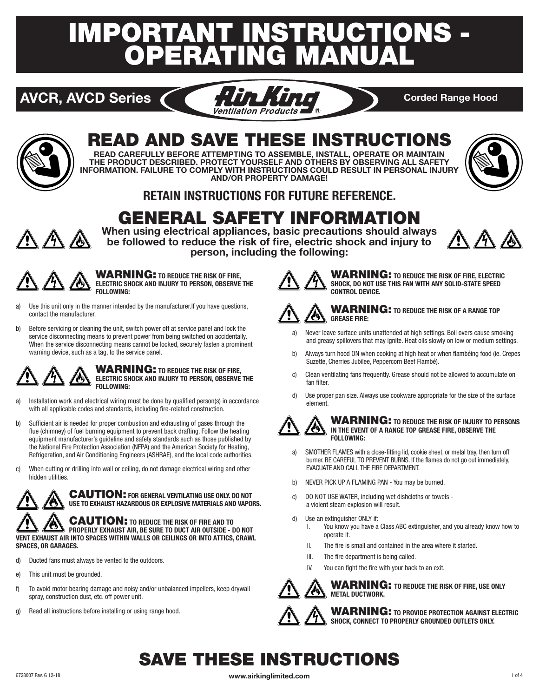# IMPORTANT INSTRUCTIONS - ERATING MANU





## READ AND SAVE THESE INSTRUCTIONS

**READ CAREFULLY BEFORE ATTEMPTING TO ASSEMBLE, INSTALL, OPERATE OR MAINTAIN THE PRODUCT DESCRIBED. PROTECT YOURSELF AND OTHERS BY OBSERVING ALL SAFETY INFORMATION. FAILURE TO COMPLY WITH INSTRUCTIONS COULD RESULT IN PERSONAL INJURY AND/OR PROPERTY DAMAGE!**



### **RETAIN INSTRUCTIONS FOR FUTURE REFERENCE.**

## GENERAL SAFETY INFORMATION



**When using electrical appliances, basic precautions should always be followed to reduce the risk of fire, electric shock and injury to person, including the following:**



WARNING: **TO REDUCE THE RISK OF FIRE, ELECTRIC SHOCK AND INJURY TO PERSON, OBSERVE THE FOLLOWING:** 

- a) Use this unit only in the manner intended by the manufacturer.If you have questions, contact the manufacturer.
- b) Before servicing or cleaning the unit, switch power off at service panel and lock the service disconnecting means to prevent power from being switched on accidentally. When the service disconnecting means cannot be locked, securely fasten a prominent warning device, such as a tag, to the service panel.



#### WARNING: **TO REDUCE THE RISK OF FIRE, ELECTRIC SHOCK AND INJURY TO PERSON, OBSERVE THE FOLLOWING:**

- a) Installation work and electrical wiring must be done by qualified person(s) in accordance with all applicable codes and standards, including fire-related construction.
- b) Sufficient air is needed for proper combustion and exhausting of gases through the flue (chimney) of fuel burning equipment to prevent back drafting. Follow the heating equipment manufacturer's guideline and safety standards such as those published by the National Fire Protection Association (NFPA) and the American Society for Heating, Refrigeration, and Air Conditioning Engineers (ASHRAE), and the local code authorities.
- c) When cutting or drilling into wall or ceiling, do not damage electrical wiring and other hidden utilities.



CAUTION: **FOR GENERAL VENTILATING USE ONLY. DO NOT USE TO EXHAUST HAZARDOUS OR EXPLOSIVE MATERIALS AND VAPORS.**

CAUTION: **TO REDUCE THE RISK OF FIRE AND TO PROPERLY EXHAUST AIR, BE SURE TO DUCT AIR OUTSIDE - DO NOT VENT EXHAUST AIR INTO SPACES WITHIN WALLS OR CEILINGS OR INTO ATTICS, CRAWL SPACES, OR GARAGES.**

- d) Ducted fans must always be vented to the outdoors.
- e) This unit must be grounded.
- f) To avoid motor bearing damage and noisy and/or unbalanced impellers, keep drywall spray, construction dust, etc. off power unit.
- g) Read all instructions before installing or using range hood.



WARNING: **TO REDUCE THE RISK OF FIRE, ELECTRIC SHOCK, DO NOT USE THIS FAN WITH ANY SOLID-STATE SPEED CONTROL DEVICE.**



#### WARNING: **TO REDUCE THE RISK OF A RANGE TOP GREASE FIRE:**

- a) Never leave surface units unattended at high settings. Boil overs cause smoking and greasy spillovers that may ignite. Heat oils slowly on low or medium settings.
- b) Always turn hood ON when cooking at high heat or when flambéing food (ie. Crepes Suzette, Cherries Jubilee, Peppercorn Beef Flambé).
- c) Clean ventilating fans frequently. Grease should not be allowed to accumulate on fan filter.
- d) Use proper pan size. Always use cookware appropriate for the size of the surface element.



WARNING: **TO REDUCE THE RISK OF INJURY TO PERSONS IN THE EVENT OF A RANGE TOP GREASE FIRE, OBSERVE THE FOLLOWING:**

- a) SMOTHER FLAMES with a close-fitting lid, cookie sheet, or metal tray, then turn off burner. BE CAREFUL TO PREVENT BURNS. If the flames do not go out immediately, EVACUATE AND CALL THE FIRE DEPARTMENT.
- b) NEVER PICK UP A FLAMING PAN You may be burned.
- c) DO NOT USE WATER, including wet dishcloths or towels a violent steam explosion will result.
- d) Use an extinguisher ONLY if:
	- I. You know you have a Class ABC extinguisher, and you already know how to operate it.
	- II. The fire is small and contained in the area where it started.
	- III. The fire department is being called.
	- IV. You can fight the fire with your back to an exit.



WARNING: **TO REDUCE THE RISK OF FIRE, USE ONLY METAL DUCTWORK.**

WARNING: **TO PROVIDE PROTECTION AGAINST ELECTRIC SHOCK, CONNECT TO PROPERLY GROUNDED OUTLETS ONLY.**

## SAVE THESE INSTRUCTIONS

6728007 Rev. G 12-18 **www.airkinglimited.com** 1 of 4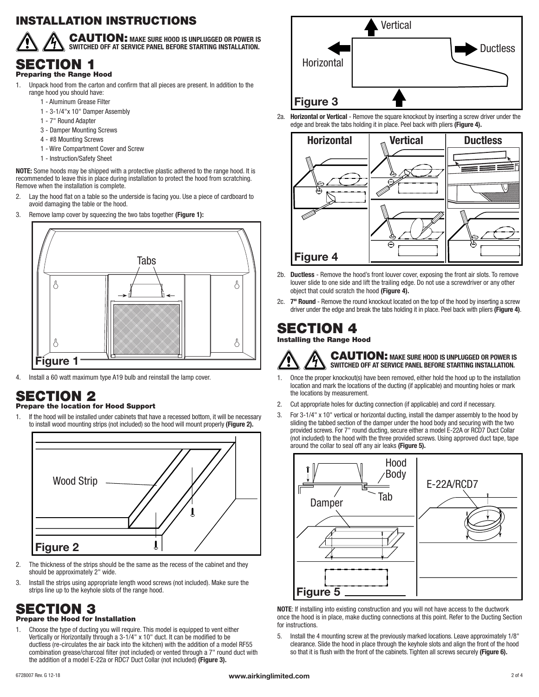### INSTALLATION INSTRUCTIONS



CAUTION: **MAKE SURE HOOD IS UNPLUGGED OR POWER IS SWITCHED OFF AT SERVICE PANEL BEFORE STARTING INSTALLATION.**

## SECTION 1

- Preparing the Range Hood
- 1. Unpack hood from the carton and confirm that all pieces are present. In addition to the range hood you should have:
	- 1 Aluminum Grease Filter
	- 1 3-1/4"x 10" Damper Assembly
	- 1 7" Round Adapter
	- 3 Damper Mounting Screws
	- 4 #8 Mounting Screws
	- 1 Wire Compartment Cover and Screw
	- 1 Instruction/Safety Sheet

**NOTE:** Some hoods may be shipped with a protective plastic adhered to the range hood. It is recommended to leave this in place during installation to protect the hood from scratching. Remove when the installation is complete.

- 2. Lay the hood flat on a table so the underside is facing you. Use a piece of cardboard to avoid damaging the table or the hood.
- 3. Remove lamp cover by squeezing the two tabs together **(Figure 1):**



4. Install a 60 watt maximum type A19 bulb and reinstall the lamp cover.

### SECTION 2

#### Prepare the location for Hood Support

1. If the hood will be installed under cabinets that have a recessed bottom, it will be necessary to install wood mounting strips (not included) so the hood will mount properly **(Figure 2).**



- 2. The thickness of the strips should be the same as the recess of the cabinet and they should be approximately 2" wide.
- 3. Install the strips using appropriate length wood screws (not included). Make sure the strips line up to the keyhole slots of the range hood.

#### SECTION 3 Prepare the Hood for Installation

1. Choose the type of ducting you will require. This model is equipped to vent either Vertically or Horizontally through a 3-1/4" x 10" duct. It can be modified to be ductless (re-circulates the air back into the kitchen) with the addition of a model RF55 combination grease/charcoal filter (not included) or vented through a 7" round duct with the addition of a model E-22a or RDC7 Duct Collar (not included) **(Figure 3).**



2a. **Horizontal or Vertical** - Remove the square knockout by inserting a screw driver under the edge and break the tabs holding it in place. Peel back with pliers **(Figure 4).**



- 2b. **Ductless** Remove the hood's front louver cover, exposing the front air slots. To remove louver slide to one side and lift the trailing edge. Do not use a screwdriver or any other object that could scratch the hood **(Figure 4).**
- 2c. **7" Round** Remove the round knockout located on the top of the hood by inserting a screw driver under the edge and break the tabs holding it in place. Peel back with pliers **(Figure 4)**.

### SECTION 4

Installing the Range Hood



CAUTION: **MAKE SURE HOOD IS UNPLUGGED OR POWER IS SWITCHED OFF AT SERVICE PANEL BEFORE STARTING INSTALLATION.**

- 1. Once the proper knockout(s) have been removed, either hold the hood up to the installation location and mark the locations of the ducting (if applicable) and mounting holes or mark the locations by measurement.
- 2. Cut appropriate holes for ducting connection (if applicable) and cord if necessary.
- 3. For 3-1/4" x 10" vertical or horizontal ducting, install the damper assembly to the hood by sliding the tabbed section of the damper under the hood body and securing with the two provided screws. For 7" round ducting, secure either a model E-22A or RCD7 Duct Collar (not included) to the hood with the three provided screws. Using approved duct tape, tape around the collar to seal off any air leaks **(Figure 5).**



**NOTE**: If installing into existing construction and you will not have access to the ductwork once the hood is in place, make ducting connections at this point. Refer to the Ducting Section for instructions.

5. Install the 4 mounting screw at the previously marked locations. Leave approximately 1/8" clearance. Slide the hood in place through the keyhole slots and align the front of the hood so that it is flush with the front of the cabinets. Tighten all screws securely **(Figure 6).**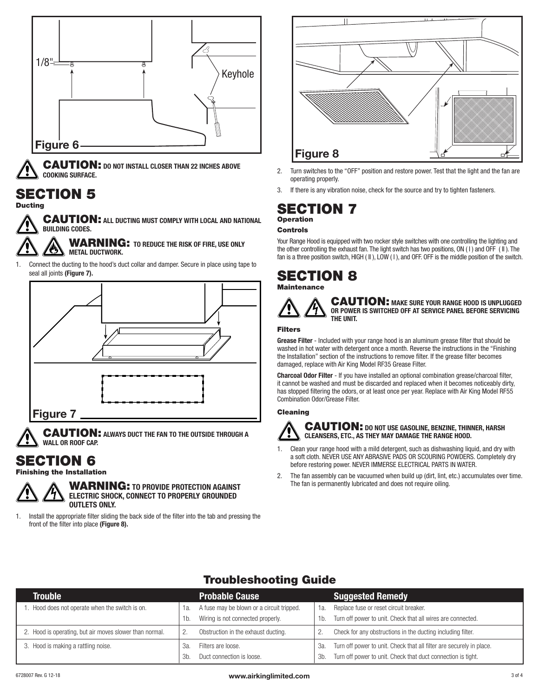

CAUTION: **DO NOT INSTALL CLOSER THAN 22 INCHES ABOVE COOKING SURFACE.**

### SECTION 5

**Ducting** 



WARNING: **TO REDUCE THE RISK OF FIRE, USE ONLY METAL DUCTWORK.**

1. Connect the ducting to the hood's duct collar and damper. Secure in place using tape to seal all joints **(Figure 7).**



CAUTION: **ALWAYS DUCT THE FAN TO THE OUTSIDE THROUGH A WALL OR ROOF CAP.**

### SECTION 6

#### Finishing the Installation



WARNING: **TO PROVIDE PROTECTION AGAINST ELECTRIC SHOCK, CONNECT TO PROPERLY GROUNDED OUTLETS ONLY.**

1. Install the appropriate filter sliding the back side of the filter into the tab and pressing the front of the filter into place **(Figure 8).**



- 2. Turn switches to the "OFF" position and restore power. Test that the light and the fan are operating properly.
- 3. If there is any vibration noise, check for the source and try to tighten fasteners.

### SECTION 7 Operation

### Controls

Your Range Hood is equipped with two rocker style switches with one controlling the lighting and the other controlling the exhaust fan. The light switch has two positions, ON ( I ) and OFF ( II ). The fan is a three position switch, HIGH (II), LOW (I), and OFF. OFF is the middle position of the switch.

#### SECTION 8 **Maintenance**



CAUTION: **MAKE SURE YOUR RANGE HOOD IS UNPLUGGED OR POWER IS SWITCHED OFF AT SERVICE PANEL BEFORE SERVICING THE UNIT.**

#### Filters

**Grease Filter** - Included with your range hood is an aluminum grease filter that should be washed in hot water with detergent once a month. Reverse the instructions in the "Finishing the Installation" section of the instructions to remove filter. If the grease filter becomes damaged, replace with Air King Model RF35 Grease Filter.

**Charcoal Odor Filter** - If you have installed an optional combination grease/charcoal filter, it cannot be washed and must be discarded and replaced when it becomes noticeably dirty, has stopped filtering the odors, or at least once per year. Replace with Air King Model RF55 Combination Odor/Grease Filter.

#### Cleaning



#### CAUTION: **DO NOT USE GASOLINE, BENZINE, THINNER, HARSH CLEANSERS, ETC., AS THEY MAY DAMAGE THE RANGE HOOD.**

- 1. Clean your range hood with a mild detergent, such as dishwashing liquid, and dry with a soft cloth. NEVER USE ANY ABRASIVE PADS OR SCOURING POWDERS. Completely dry before restoring power. NEVER IMMERSE ELECTRICAL PARTS IN WATER.
- 2. The fan assembly can be vacuumed when build up (dirt, lint, etc.) accumulates over time. The fan is permanently lubricated and does not require oiling.

### Troubleshooting Guide

| Trouble                                                 |      | <b>Probable Cause</b>                     |     | <b>Suggested Remedy</b>                                              |
|---------------------------------------------------------|------|-------------------------------------------|-----|----------------------------------------------------------------------|
| Hood does not operate when the switch is on.            | 1a.  | A fuse may be blown or a circuit tripped. | 1а. | Replace fuse or reset circuit breaker.                               |
|                                                         | 1b.  | Wiring is not connected properly.         | 1b. | Turn off power to unit. Check that all wires are connected.          |
| 2. Hood is operating, but air moves slower than normal. |      | Obstruction in the exhaust ducting.       |     | Check for any obstructions in the ducting including filter.          |
| 3. Hood is making a rattling noise.                     | За   | Filters are loose.                        | За. | Turn off power to unit. Check that all filter are securely in place. |
|                                                         | .3b. | Duct connection is loose.                 | 3b. | Turn off power to unit. Check that duct connection is tight.         |